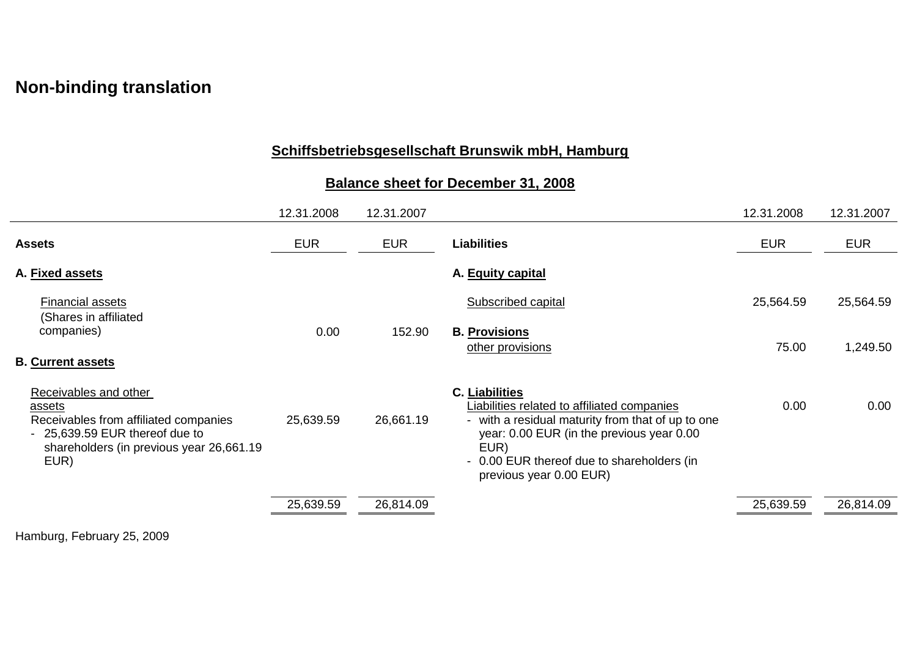## **Non-binding translation**

## **Schiffsbetriebsgesellschaft Brunswik mbH, Hamburg**

## **Balance sheet for December 31, 2008**

|                                                                                                                                                                 | 12.31.2008 | 12.31.2007 |                                                                                                                                                                                                                                                         | 12.31.2008 | 12.31.2007 |
|-----------------------------------------------------------------------------------------------------------------------------------------------------------------|------------|------------|---------------------------------------------------------------------------------------------------------------------------------------------------------------------------------------------------------------------------------------------------------|------------|------------|
| <b>Assets</b>                                                                                                                                                   | <b>EUR</b> | <b>EUR</b> | <b>Liabilities</b>                                                                                                                                                                                                                                      | <b>EUR</b> | <b>EUR</b> |
| A. Fixed assets                                                                                                                                                 |            |            | A. Equity capital                                                                                                                                                                                                                                       |            |            |
| <b>Financial assets</b>                                                                                                                                         |            |            | Subscribed capital                                                                                                                                                                                                                                      | 25,564.59  | 25,564.59  |
| (Shares in affiliated<br>companies)                                                                                                                             | 0.00       | 152.90     | <b>B. Provisions</b><br>other provisions                                                                                                                                                                                                                | 75.00      | 1,249.50   |
| <b>B. Current assets</b>                                                                                                                                        |            |            |                                                                                                                                                                                                                                                         |            |            |
| Receivables and other<br>assets<br>Receivables from affiliated companies<br>- 25,639.59 EUR thereof due to<br>shareholders (in previous year 26,661.19)<br>EUR) | 25,639.59  | 26,661.19  | <b>C. Liabilities</b><br>Liabilities related to affiliated companies<br>- with a residual maturity from that of up to one<br>year: 0.00 EUR (in the previous year 0.00<br>EUR)<br>- 0.00 EUR thereof due to shareholders (in<br>previous year 0.00 EUR) | 0.00       | 0.00       |
|                                                                                                                                                                 | 25,639.59  | 26,814.09  |                                                                                                                                                                                                                                                         | 25,639.59  | 26,814.09  |

Hamburg, February 25, 2009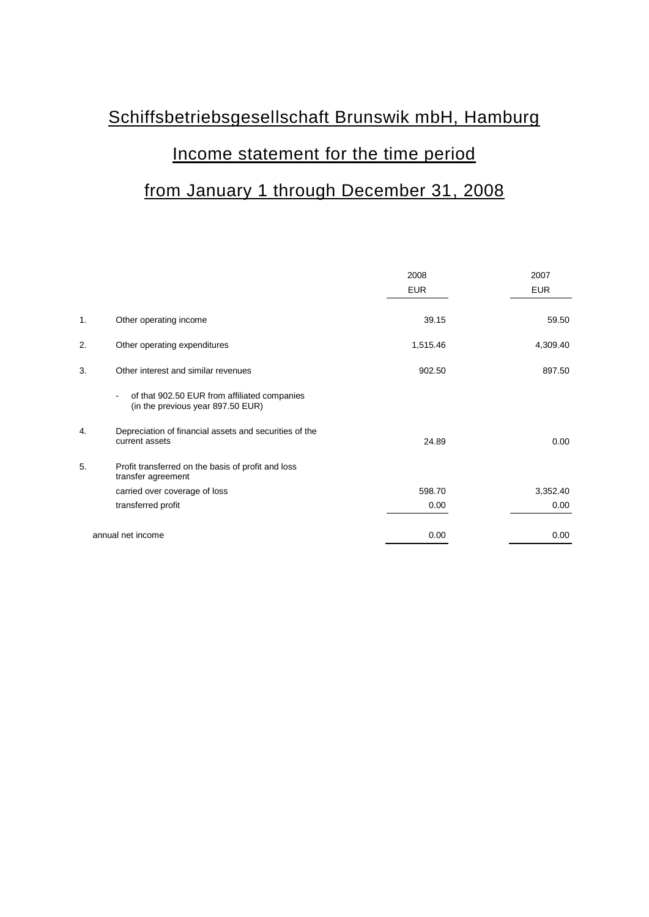# Schiffsbetriebsgesellschaft Brunswik mbH, Hamburg Income statement for the time period from January 1 through December 31, 2008

|    |                                                                                   | 2008       | 2007       |
|----|-----------------------------------------------------------------------------------|------------|------------|
|    |                                                                                   | <b>EUR</b> | <b>EUR</b> |
| 1. | Other operating income                                                            | 39.15      | 59.50      |
| 2. | Other operating expenditures                                                      | 1,515.46   | 4,309.40   |
| 3. | Other interest and similar revenues                                               | 902.50     | 897.50     |
|    | of that 902.50 EUR from affiliated companies<br>(in the previous year 897.50 EUR) |            |            |
| 4. | Depreciation of financial assets and securities of the<br>current assets          | 24.89      | 0.00       |
| 5. | Profit transferred on the basis of profit and loss<br>transfer agreement          |            |            |
|    | carried over coverage of loss                                                     | 598.70     | 3,352.40   |
|    | transferred profit                                                                | 0.00       | 0.00       |
|    | annual net income                                                                 | 0.00       | 0.00       |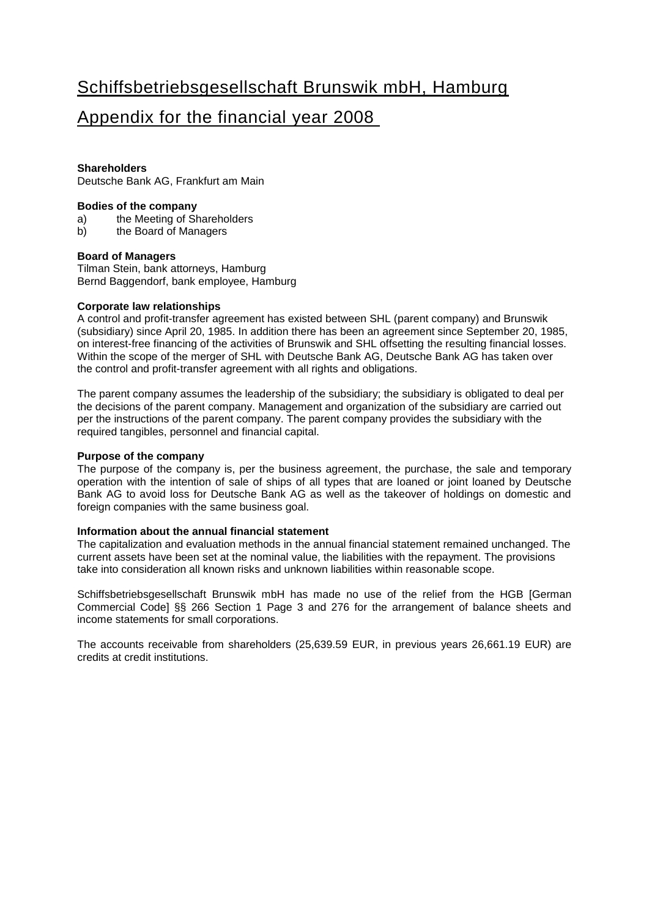## Schiffsbetriebsgesellschaft Brunswik mbH, Hamburg

### Appendix for the financial year 2008

#### **Shareholders**

Deutsche Bank AG, Frankfurt am Main

#### **Bodies of the company**

- a) the Meeting of Shareholders<br>b) the Board of Managers
- the Board of Managers

#### **Board of Managers**

Tilman Stein, bank attorneys, Hamburg Bernd Baggendorf, bank employee, Hamburg

#### **Corporate law relationships**

A control and profit-transfer agreement has existed between SHL (parent company) and Brunswik (subsidiary) since April 20, 1985. In addition there has been an agreement since September 20, 1985, on interest-free financing of the activities of Brunswik and SHL offsetting the resulting financial losses. Within the scope of the merger of SHL with Deutsche Bank AG, Deutsche Bank AG has taken over the control and profit-transfer agreement with all rights and obligations.

The parent company assumes the leadership of the subsidiary; the subsidiary is obligated to deal per the decisions of the parent company. Management and organization of the subsidiary are carried out per the instructions of the parent company. The parent company provides the subsidiary with the required tangibles, personnel and financial capital.

#### **Purpose of the company**

The purpose of the company is, per the business agreement, the purchase, the sale and temporary operation with the intention of sale of ships of all types that are loaned or joint loaned by Deutsche Bank AG to avoid loss for Deutsche Bank AG as well as the takeover of holdings on domestic and foreign companies with the same business goal.

#### **Information about the annual financial statement**

The capitalization and evaluation methods in the annual financial statement remained unchanged. The current assets have been set at the nominal value, the liabilities with the repayment. The provisions take into consideration all known risks and unknown liabilities within reasonable scope.

Schiffsbetriebsgesellschaft Brunswik mbH has made no use of the relief from the HGB [German Commercial Code] §§ 266 Section 1 Page 3 and 276 for the arrangement of balance sheets and income statements for small corporations.

The accounts receivable from shareholders (25,639.59 EUR, in previous years 26,661.19 EUR) are credits at credit institutions.